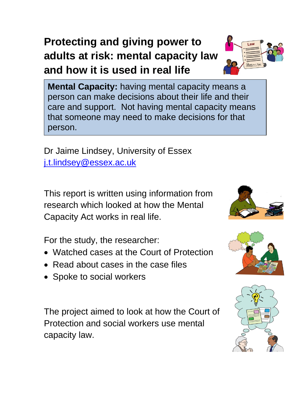## **Protecting and giving power to adults at risk: mental capacity law and how it is used in real life**



Dr Jaime Lindsey, University of Essex [j.t.lindsey@essex.ac.uk](mailto:j.t.lindsey@essex.ac.uk)

This report is written using information from research which looked at how the Mental Capacity Act works in real life.

For the study, the researcher:

- Watched cases at the Court of Protection
- Read about cases in the case files
- Spoke to social workers

The project aimed to look at how the Court of Protection and social workers use mental capacity law.







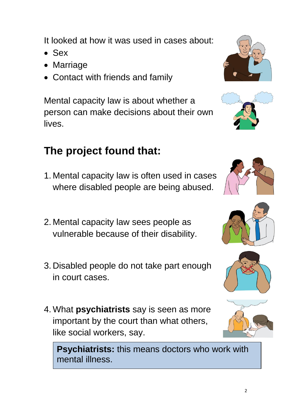It looked at how it was used in cases about:

- Sex
- Marriage
- Contact with friends and family

Mental capacity law is about whether a person can make decisions about their own lives.

## **The project found that:**

- 1. Mental capacity law is often used in cases where disabled people are being abused.
- 2. Mental capacity law sees people as vulnerable because of their disability.
- 3. Disabled people do not take part enough in court cases.
- 4. What **psychiatrists** say is seen as more important by the court than what others, like social workers, say.

**Psychiatrists:** this means doctors who work with mental illness.